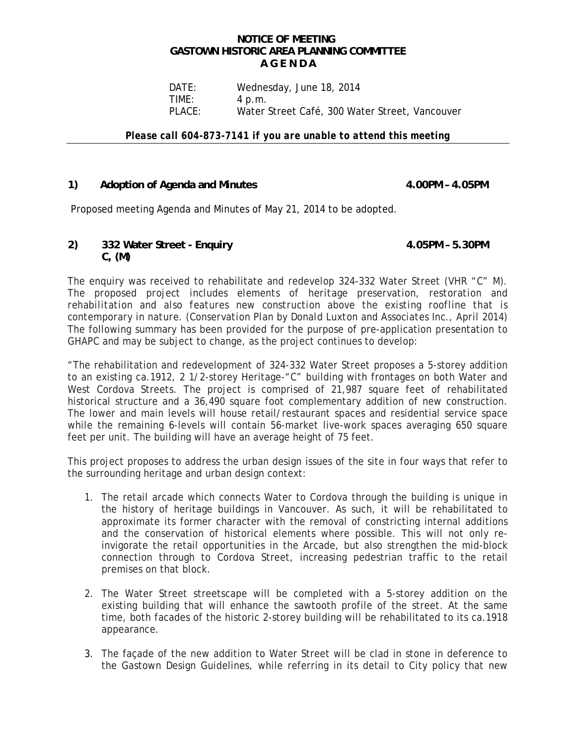## **NOTICE OF MEETING GASTOWN HISTORIC AREA PLANNING COMMITTEE A G E N D A**

DATE: Wednesday, June 18, 2014 TIME: 4 p.m. PLACE: Water Street Café, 300 Water Street, Vancouver

*Please call 604-873-7141 if you are unable to attend this meeting* 

## 1) Adoption of Agenda and Minutes **4.00PM - 4.05PM**

Proposed meeting Agenda and Minutes of May 21, 2014 to be adopted.

## **2) 332 Water Street - Enquiry 4.05PM – 5.30PM C, (M)**

The enquiry was received to rehabilitate and redevelop 324-332 Water Street (VHR "C" M). *The proposed project includes elements of heritage preservation, restoration and rehabilitation and also features new construction above the existing roofline that is contemporary in nature. (Conservation Plan by Donald Luxton and Associates Inc., April 2014)*  The following summary has been provided for the purpose of pre-application presentation to GHAPC and may be subject to change, as the project continues to develop:

"The rehabilitation and redevelopment of 324-332 Water Street proposes a 5-storey addition to an existing ca.1912, 2 1/2-storey Heritage-"C" building with frontages on both Water and West Cordova Streets. The project is comprised of 21,987 square feet of rehabilitated historical structure and a 36,490 square foot complementary addition of new construction. The lower and main levels will house retail/restaurant spaces and residential service space while the remaining 6-levels will contain 56-market live-work spaces averaging 650 square feet per unit. The building will have an average height of 75 feet.

This project proposes to address the urban design issues of the site in four ways that refer to the surrounding heritage and urban design context:

- 1. The retail arcade which connects Water to Cordova through the building is unique in the history of heritage buildings in Vancouver. As such, it will be rehabilitated to approximate its former character with the removal of constricting internal additions and the conservation of historical elements where possible. This will not only reinvigorate the retail opportunities in the Arcade, but also strengthen the mid-block connection through to Cordova Street, increasing pedestrian traffic to the retail premises on that block.
- 2. The Water Street streetscape will be completed with a 5-storey addition on the existing building that will enhance the sawtooth profile of the street. At the same time, both facades of the historic 2-storey building will be rehabilitated to its ca.1918 appearance.
- 3. The façade of the new addition to Water Street will be clad in stone in deference to the Gastown Design Guidelines, while referring in its detail to City policy that new